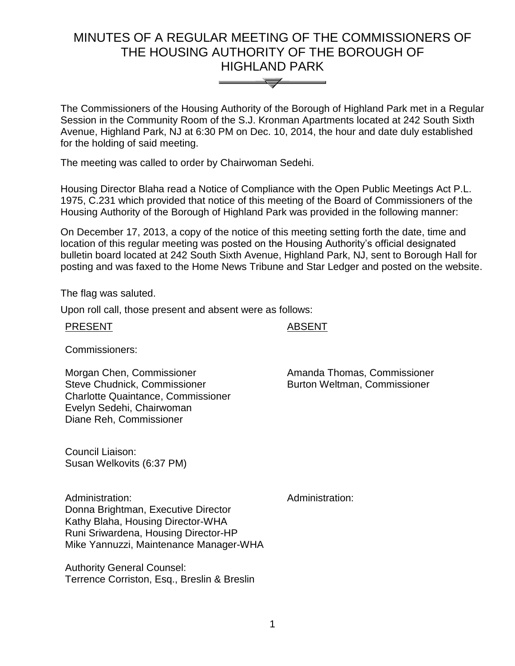# MINUTES OF A REGULAR MEETING OF THE COMMISSIONERS OF THE HOUSING AUTHORITY OF THE BOROUGH OF HIGHLAND PARK



The Commissioners of the Housing Authority of the Borough of Highland Park met in a Regular Session in the Community Room of the S.J. Kronman Apartments located at 242 South Sixth Avenue, Highland Park, NJ at 6:30 PM on Dec. 10, 2014, the hour and date duly established for the holding of said meeting.

The meeting was called to order by Chairwoman Sedehi.

Housing Director Blaha read a Notice of Compliance with the Open Public Meetings Act P.L. 1975, C.231 which provided that notice of this meeting of the Board of Commissioners of the Housing Authority of the Borough of Highland Park was provided in the following manner:

On December 17, 2013, a copy of the notice of this meeting setting forth the date, time and location of this regular meeting was posted on the Housing Authority's official designated bulletin board located at 242 South Sixth Avenue, Highland Park, NJ, sent to Borough Hall for posting and was faxed to the Home News Tribune and Star Ledger and posted on the website.

The flag was saluted.

Upon roll call, those present and absent were as follows:

# **ABSENT**

Commissioners:

Morgan Chen, Commissioner Steve Chudnick, Commissioner Charlotte Quaintance, Commissioner Evelyn Sedehi, Chairwoman Diane Reh, Commissioner

Amanda Thomas, Commissioner Burton Weltman, Commissioner

Council Liaison: Susan Welkovits (6:37 PM)

Administration: Administration: Donna Brightman, Executive Director Kathy Blaha, Housing Director-WHA Runi Sriwardena, Housing Director-HP Mike Yannuzzi, Maintenance Manager-WHA

Authority General Counsel: Terrence Corriston, Esq., Breslin & Breslin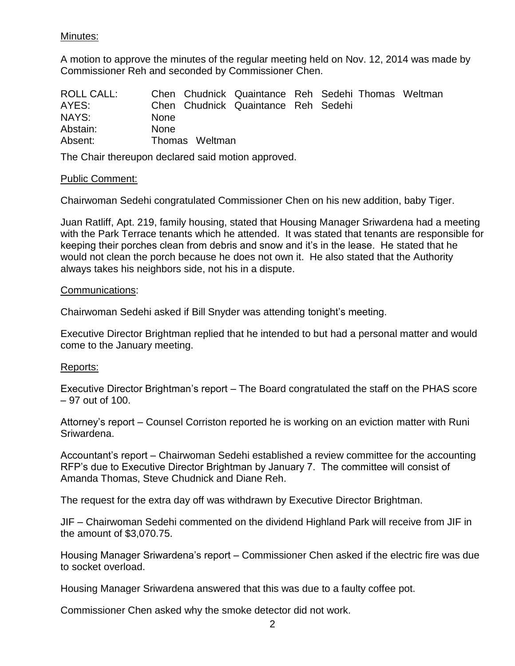## Minutes:

A motion to approve the minutes of the regular meeting held on Nov. 12, 2014 was made by Commissioner Reh and seconded by Commissioner Chen.

| <b>ROLL CALL:</b> |             |                | Chen Chudnick Quaintance Reh Sedehi Thomas Weltman |  |  |
|-------------------|-------------|----------------|----------------------------------------------------|--|--|
| AYES:             |             |                | Chen Chudnick Quaintance Reh Sedehi                |  |  |
| NAYS:             | <b>None</b> |                |                                                    |  |  |
| Abstain:          | <b>None</b> |                |                                                    |  |  |
| Absent:           |             | Thomas Weltman |                                                    |  |  |

The Chair thereupon declared said motion approved.

#### Public Comment:

Chairwoman Sedehi congratulated Commissioner Chen on his new addition, baby Tiger.

Juan Ratliff, Apt. 219, family housing, stated that Housing Manager Sriwardena had a meeting with the Park Terrace tenants which he attended. It was stated that tenants are responsible for keeping their porches clean from debris and snow and it's in the lease. He stated that he would not clean the porch because he does not own it. He also stated that the Authority always takes his neighbors side, not his in a dispute.

#### Communications:

Chairwoman Sedehi asked if Bill Snyder was attending tonight's meeting.

Executive Director Brightman replied that he intended to but had a personal matter and would come to the January meeting.

# Reports:

Executive Director Brightman's report – The Board congratulated the staff on the PHAS score – 97 out of 100.

Attorney's report – Counsel Corriston reported he is working on an eviction matter with Runi Sriwardena.

Accountant's report – Chairwoman Sedehi established a review committee for the accounting RFP's due to Executive Director Brightman by January 7. The committee will consist of Amanda Thomas, Steve Chudnick and Diane Reh.

The request for the extra day off was withdrawn by Executive Director Brightman.

JIF – Chairwoman Sedehi commented on the dividend Highland Park will receive from JIF in the amount of \$3,070.75.

Housing Manager Sriwardena's report – Commissioner Chen asked if the electric fire was due to socket overload.

Housing Manager Sriwardena answered that this was due to a faulty coffee pot.

Commissioner Chen asked why the smoke detector did not work.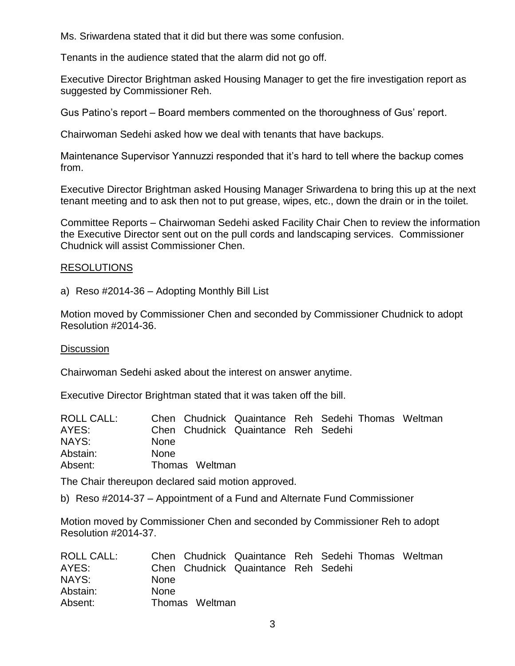Ms. Sriwardena stated that it did but there was some confusion.

Tenants in the audience stated that the alarm did not go off.

Executive Director Brightman asked Housing Manager to get the fire investigation report as suggested by Commissioner Reh.

Gus Patino's report – Board members commented on the thoroughness of Gus' report.

Chairwoman Sedehi asked how we deal with tenants that have backups.

Maintenance Supervisor Yannuzzi responded that it's hard to tell where the backup comes from.

Executive Director Brightman asked Housing Manager Sriwardena to bring this up at the next tenant meeting and to ask then not to put grease, wipes, etc., down the drain or in the toilet.

Committee Reports – Chairwoman Sedehi asked Facility Chair Chen to review the information the Executive Director sent out on the pull cords and landscaping services. Commissioner Chudnick will assist Commissioner Chen.

#### RESOLUTIONS

a) Reso #2014-36 – Adopting Monthly Bill List

Motion moved by Commissioner Chen and seconded by Commissioner Chudnick to adopt Resolution #2014-36.

#### **Discussion**

Chairwoman Sedehi asked about the interest on answer anytime.

Executive Director Brightman stated that it was taken off the bill.

| ROLL CALL: |             |                | Chen Chudnick Quaintance Reh Sedehi Thomas Weltman |  |  |
|------------|-------------|----------------|----------------------------------------------------|--|--|
| AYES:      |             |                | Chen Chudnick Quaintance Reh Sedehi                |  |  |
| NAYS:      | <b>None</b> |                |                                                    |  |  |
| Abstain:   | <b>None</b> |                |                                                    |  |  |
| Absent:    |             | Thomas Weltman |                                                    |  |  |

The Chair thereupon declared said motion approved.

b) Reso #2014-37 – Appointment of a Fund and Alternate Fund Commissioner

Motion moved by Commissioner Chen and seconded by Commissioner Reh to adopt Resolution #2014-37.

| <b>ROLL CALL:</b> |             |                | Chen Chudnick Quaintance Reh Sedehi Thomas Weltman |  |  |
|-------------------|-------------|----------------|----------------------------------------------------|--|--|
| AYES:             |             |                | Chen Chudnick Quaintance Reh Sedehi                |  |  |
| NAYS:             | <b>None</b> |                |                                                    |  |  |
| Abstain:          | <b>None</b> |                |                                                    |  |  |
| Absent:           |             | Thomas Weltman |                                                    |  |  |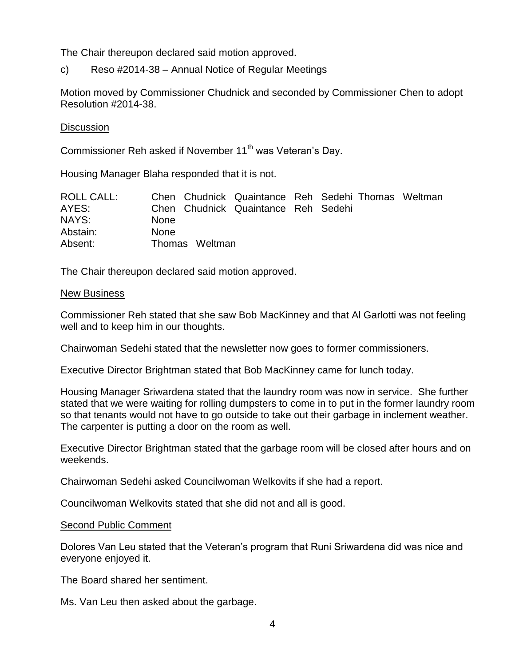The Chair thereupon declared said motion approved.

c) Reso #2014-38 – Annual Notice of Regular Meetings

Motion moved by Commissioner Chudnick and seconded by Commissioner Chen to adopt Resolution #2014-38.

#### Discussion

Commissioner Reh asked if November 11<sup>th</sup> was Veteran's Day.

Housing Manager Blaha responded that it is not.

| ROLL CALL: |             |                | Chen Chudnick Quaintance Reh Sedehi Thomas Weltman |  |  |
|------------|-------------|----------------|----------------------------------------------------|--|--|
| AYES:      |             |                | Chen Chudnick Quaintance Reh Sedehi                |  |  |
| NAYS:      | <b>None</b> |                |                                                    |  |  |
| Abstain:   | <b>None</b> |                |                                                    |  |  |
| Absent:    |             | Thomas Weltman |                                                    |  |  |

The Chair thereupon declared said motion approved.

#### New Business

Commissioner Reh stated that she saw Bob MacKinney and that Al Garlotti was not feeling well and to keep him in our thoughts.

Chairwoman Sedehi stated that the newsletter now goes to former commissioners.

Executive Director Brightman stated that Bob MacKinney came for lunch today.

Housing Manager Sriwardena stated that the laundry room was now in service. She further stated that we were waiting for rolling dumpsters to come in to put in the former laundry room so that tenants would not have to go outside to take out their garbage in inclement weather. The carpenter is putting a door on the room as well.

Executive Director Brightman stated that the garbage room will be closed after hours and on weekends.

Chairwoman Sedehi asked Councilwoman Welkovits if she had a report.

Councilwoman Welkovits stated that she did not and all is good.

#### Second Public Comment

Dolores Van Leu stated that the Veteran's program that Runi Sriwardena did was nice and everyone enjoyed it.

The Board shared her sentiment.

Ms. Van Leu then asked about the garbage.